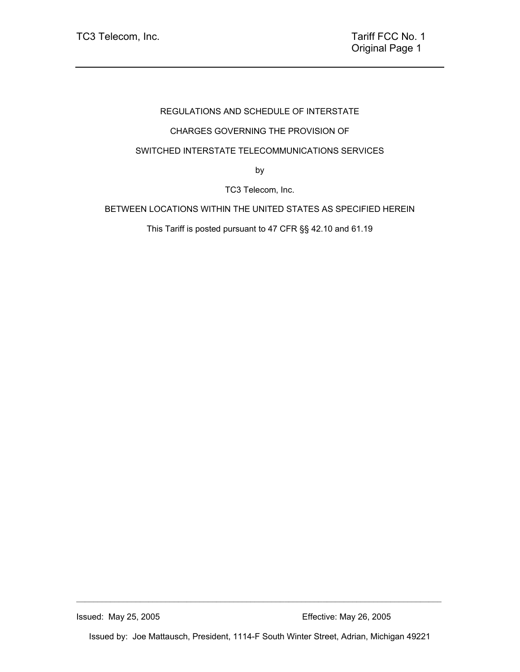# REGULATIONS AND SCHEDULE OF INTERSTATE

# CHARGES GOVERNING THE PROVISION OF

## SWITCHED INTERSTATE TELECOMMUNICATIONS SERVICES

by

TC3 Telecom, Inc.

## BETWEEN LOCATIONS WITHIN THE UNITED STATES AS SPECIFIED HEREIN

This Tariff is posted pursuant to 47 CFR §§ 42.10 and 61.19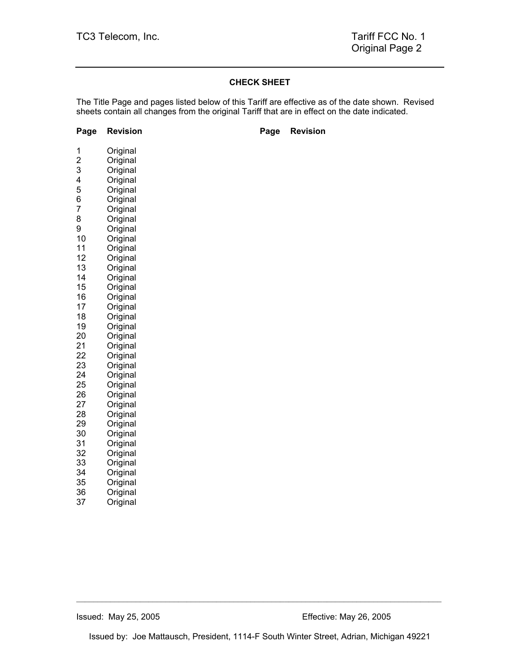#### **CHECK SHEET**

The Title Page and pages listed below of this Tariff are effective as of the date shown. Revised sheets contain all changes from the original Tariff that are in effect on the date indicated.

## **Page Revision Communist Page Revision**

| 1<br>$\overline{2}$<br>3<br>4<br>5<br>6<br>7<br>8<br>9 | Original<br>Original<br>Original<br>Original<br>Original<br>Original<br>Original<br>Original |
|--------------------------------------------------------|----------------------------------------------------------------------------------------------|
| 10                                                     | Original<br>Original                                                                         |
| 11                                                     | Original                                                                                     |
| 12                                                     | Original                                                                                     |
| 13                                                     | Original                                                                                     |
| 14                                                     | Original                                                                                     |
| 15                                                     | Original                                                                                     |
| 16                                                     | Original                                                                                     |
| 17                                                     | Original                                                                                     |
| 18                                                     | Original                                                                                     |
| 19                                                     | Original                                                                                     |
| 20                                                     | Original                                                                                     |
| 21                                                     | Original                                                                                     |
| 22                                                     | Original                                                                                     |
| 23                                                     | Original                                                                                     |
| 24<br>25                                               | Original<br>Original                                                                         |
| 26                                                     | Original                                                                                     |
| 27                                                     | Original                                                                                     |
| 28                                                     | Original                                                                                     |
| 29                                                     | Original                                                                                     |
| 30                                                     | Original                                                                                     |
| 31                                                     | Original<br>Original                                                                         |
| 32                                                     |                                                                                              |
| 33                                                     | Original                                                                                     |
| 34                                                     | Original                                                                                     |
| 35                                                     | Original                                                                                     |
| 36                                                     | Original                                                                                     |
| 37                                                     | Original                                                                                     |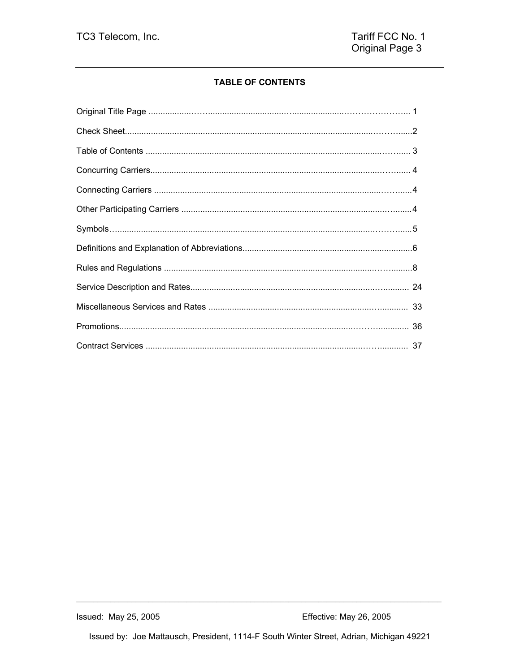## **TABLE OF CONTENTS**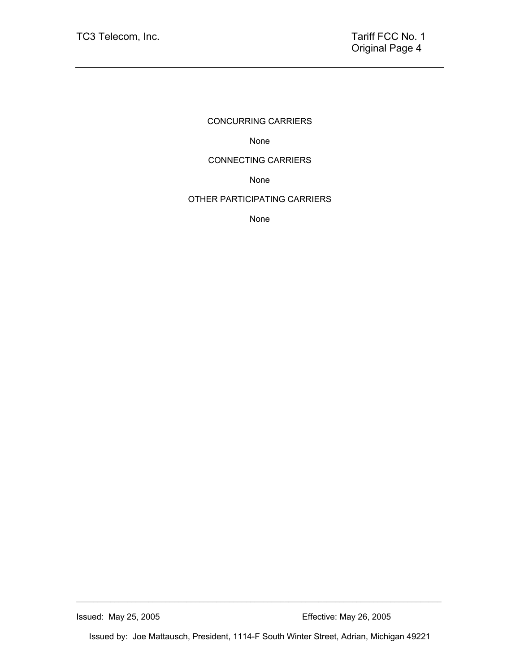## CONCURRING CARRIERS

None

## CONNECTING CARRIERS

None

## OTHER PARTICIPATING CARRIERS

None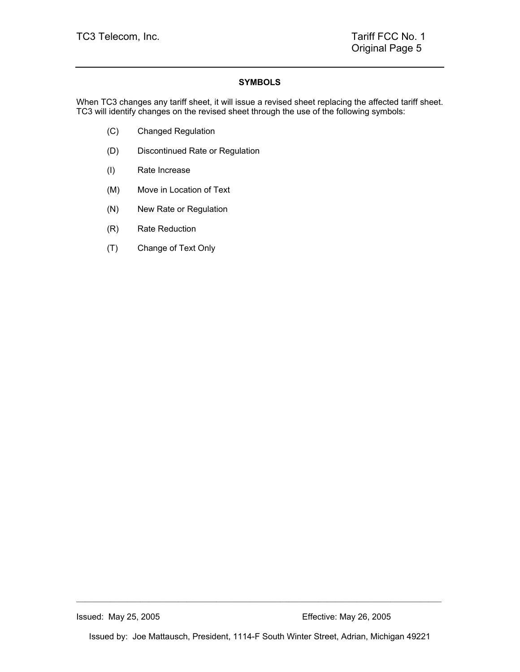## **SYMBOLS**

When TC3 changes any tariff sheet, it will issue a revised sheet replacing the affected tariff sheet. TC3 will identify changes on the revised sheet through the use of the following symbols:

- (C) Changed Regulation
- (D) Discontinued Rate or Regulation
- (I) Rate Increase
- (M) Move in Location of Text
- (N) New Rate or Regulation
- (R) Rate Reduction
- (T) Change of Text Only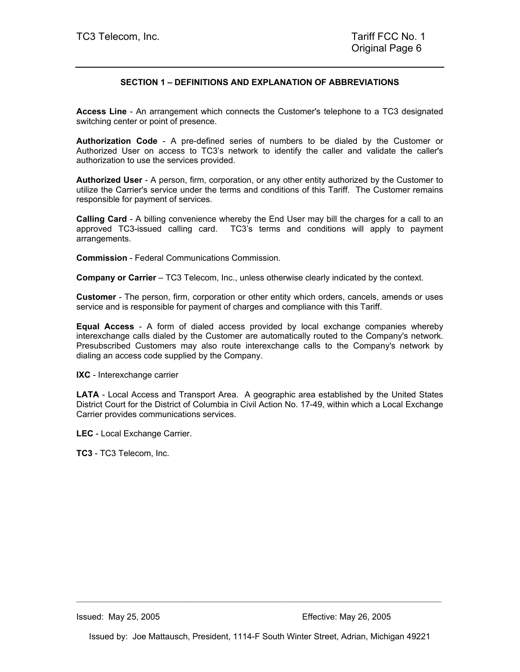## **SECTION 1 – DEFINITIONS AND EXPLANATION OF ABBREVIATIONS**

**Access Line** - An arrangement which connects the Customer's telephone to a TC3 designated switching center or point of presence.

**Authorization Code** - A pre-defined series of numbers to be dialed by the Customer or Authorized User on access to TC3's network to identify the caller and validate the caller's authorization to use the services provided.

**Authorized User** - A person, firm, corporation, or any other entity authorized by the Customer to utilize the Carrier's service under the terms and conditions of this Tariff. The Customer remains responsible for payment of services.

**Calling Card** - A billing convenience whereby the End User may bill the charges for a call to an approved TC3-issued calling card. TC3's terms and conditions will apply to payment arrangements.

**Commission** - Federal Communications Commission.

**Company or Carrier** – TC3 Telecom, Inc., unless otherwise clearly indicated by the context.

**Customer** - The person, firm, corporation or other entity which orders, cancels, amends or uses service and is responsible for payment of charges and compliance with this Tariff.

**Equal Access** - A form of dialed access provided by local exchange companies whereby interexchange calls dialed by the Customer are automatically routed to the Company's network. Presubscribed Customers may also route interexchange calls to the Company's network by dialing an access code supplied by the Company.

**IXC** - Interexchange carrier

**LATA** - Local Access and Transport Area. A geographic area established by the United States District Court for the District of Columbia in Civil Action No. 17-49, within which a Local Exchange Carrier provides communications services.

**LEC** - Local Exchange Carrier.

**TC3** - TC3 Telecom, Inc.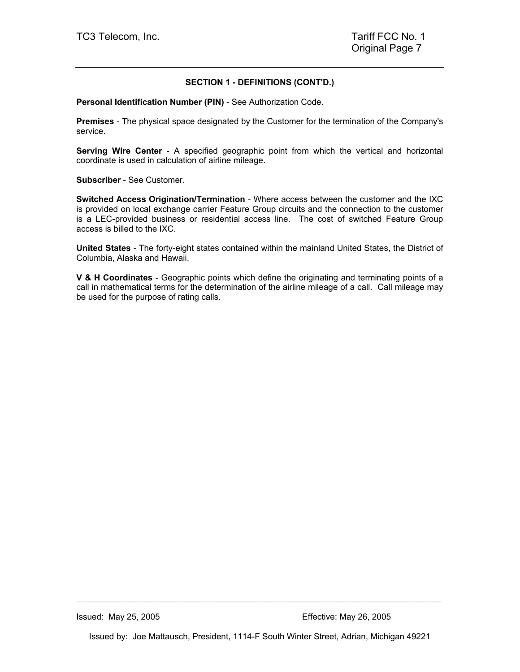## **SECTION 1 - DEFINITIONS (CONT'D.)**

**Personal Identification Number (PIN)** - See Authorization Code.

**Premises** - The physical space designated by the Customer for the termination of the Company's service.

**Serving Wire Center** - A specified geographic point from which the vertical and horizontal coordinate is used in calculation of airline mileage.

**Subscriber** - See Customer.

**Switched Access Origination/Termination** - Where access between the customer and the IXC is provided on local exchange carrier Feature Group circuits and the connection to the customer is a LEC-provided business or residential access line. The cost of switched Feature Group access is billed to the IXC.

**United States** - The forty-eight states contained within the mainland United States, the District of Columbia, Alaska and Hawaii.

**V & H Coordinates** - Geographic points which define the originating and terminating points of a call in mathematical terms for the determination of the airline mileage of a call. Call mileage may be used for the purpose of rating calls.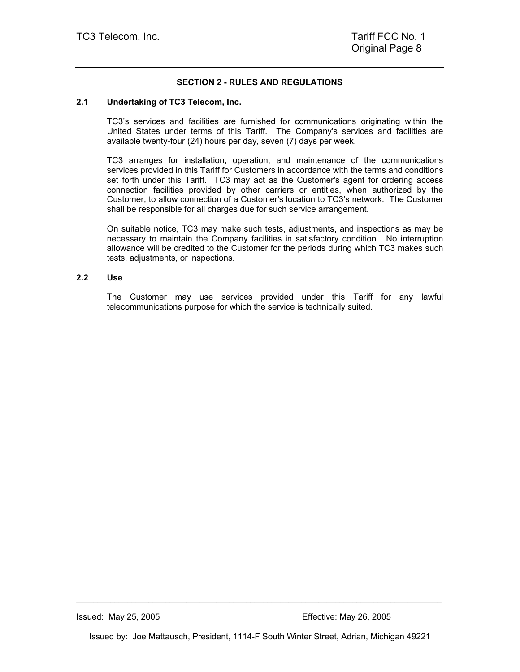## **SECTION 2 - RULES AND REGULATIONS**

#### **2.1 Undertaking of TC3 Telecom, Inc.**

TC3's services and facilities are furnished for communications originating within the United States under terms of this Tariff. The Company's services and facilities are available twenty-four (24) hours per day, seven (7) days per week.

TC3 arranges for installation, operation, and maintenance of the communications services provided in this Tariff for Customers in accordance with the terms and conditions set forth under this Tariff. TC3 may act as the Customer's agent for ordering access connection facilities provided by other carriers or entities, when authorized by the Customer, to allow connection of a Customer's location to TC3's network. The Customer shall be responsible for all charges due for such service arrangement.

On suitable notice, TC3 may make such tests, adjustments, and inspections as may be necessary to maintain the Company facilities in satisfactory condition. No interruption allowance will be credited to the Customer for the periods during which TC3 makes such tests, adjustments, or inspections.

#### **2.2 Use**

The Customer may use services provided under this Tariff for any lawful telecommunications purpose for which the service is technically suited.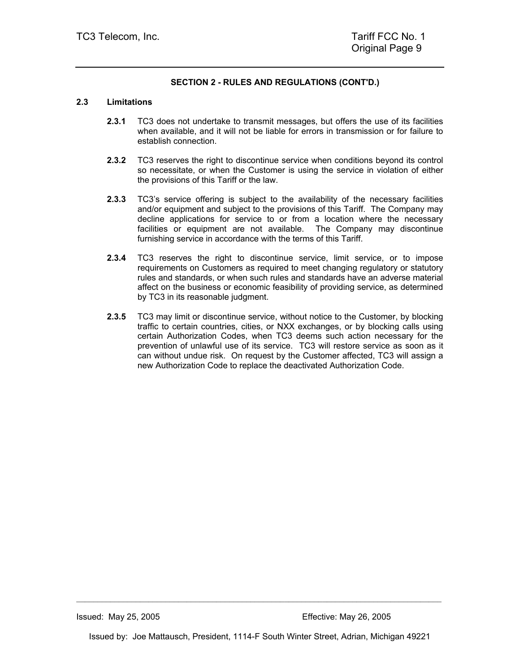#### **2.3 Limitations**

- **2.3.1** TC3 does not undertake to transmit messages, but offers the use of its facilities when available, and it will not be liable for errors in transmission or for failure to establish connection.
- **2.3.2** TC3 reserves the right to discontinue service when conditions beyond its control so necessitate, or when the Customer is using the service in violation of either the provisions of this Tariff or the law.
- **2.3.3** TC3's service offering is subject to the availability of the necessary facilities and/or equipment and subject to the provisions of this Tariff. The Company may decline applications for service to or from a location where the necessary facilities or equipment are not available. The Company may discontinue furnishing service in accordance with the terms of this Tariff.
- **2.3.4** TC3 reserves the right to discontinue service, limit service, or to impose requirements on Customers as required to meet changing regulatory or statutory rules and standards, or when such rules and standards have an adverse material affect on the business or economic feasibility of providing service, as determined by TC3 in its reasonable judgment.
- **2.3.5** TC3 may limit or discontinue service, without notice to the Customer, by blocking traffic to certain countries, cities, or NXX exchanges, or by blocking calls using certain Authorization Codes, when TC3 deems such action necessary for the prevention of unlawful use of its service. TC3 will restore service as soon as it can without undue risk. On request by the Customer affected, TC3 will assign a new Authorization Code to replace the deactivated Authorization Code.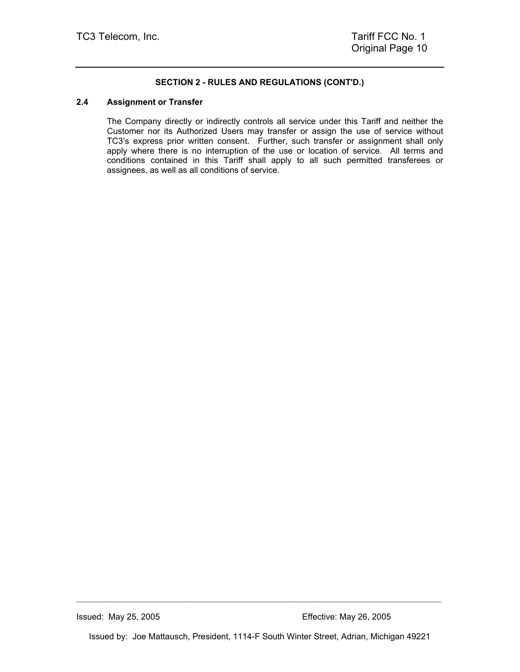#### **2.4 Assignment or Transfer**

The Company directly or indirectly controls all service under this Tariff and neither the Customer nor its Authorized Users may transfer or assign the use of service without TC3's express prior written consent. Further, such transfer or assignment shall only apply where there is no interruption of the use or location of service. All terms and conditions contained in this Tariff shall apply to all such permitted transferees or assignees, as well as all conditions of service.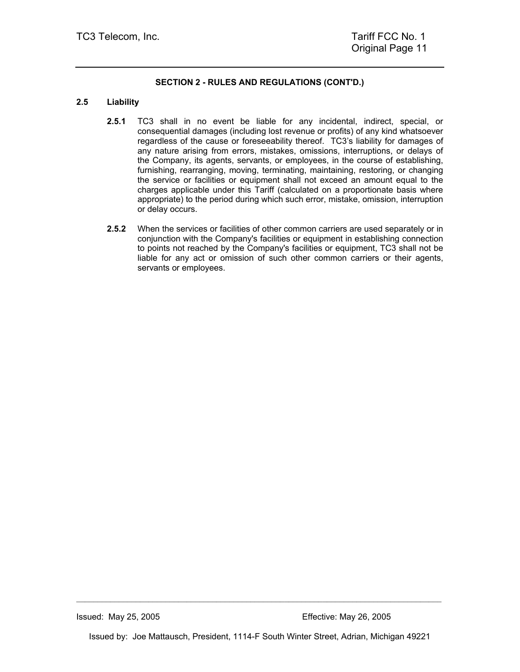### **2.5 Liability**

- **2.5.1** TC3 shall in no event be liable for any incidental, indirect, special, or consequential damages (including lost revenue or profits) of any kind whatsoever regardless of the cause or foreseeability thereof. TC3's liability for damages of any nature arising from errors, mistakes, omissions, interruptions, or delays of the Company, its agents, servants, or employees, in the course of establishing, furnishing, rearranging, moving, terminating, maintaining, restoring, or changing the service or facilities or equipment shall not exceed an amount equal to the charges applicable under this Tariff (calculated on a proportionate basis where appropriate) to the period during which such error, mistake, omission, interruption or delay occurs.
- **2.5.2** When the services or facilities of other common carriers are used separately or in conjunction with the Company's facilities or equipment in establishing connection to points not reached by the Company's facilities or equipment, TC3 shall not be liable for any act or omission of such other common carriers or their agents, servants or employees.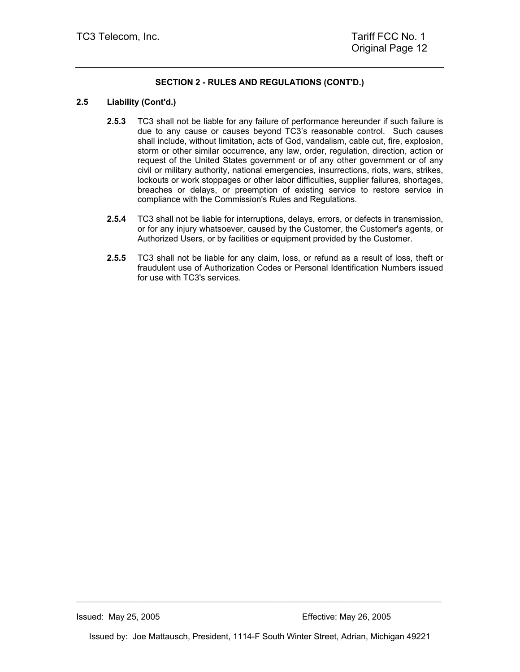### **2.5 Liability (Cont'd.)**

- **2.5.3** TC3 shall not be liable for any failure of performance hereunder if such failure is due to any cause or causes beyond TC3's reasonable control. Such causes shall include, without limitation, acts of God, vandalism, cable cut, fire, explosion, storm or other similar occurrence, any law, order, regulation, direction, action or request of the United States government or of any other government or of any civil or military authority, national emergencies, insurrections, riots, wars, strikes, lockouts or work stoppages or other labor difficulties, supplier failures, shortages, breaches or delays, or preemption of existing service to restore service in compliance with the Commission's Rules and Regulations.
- **2.5.4** TC3 shall not be liable for interruptions, delays, errors, or defects in transmission, or for any injury whatsoever, caused by the Customer, the Customer's agents, or Authorized Users, or by facilities or equipment provided by the Customer.
- **2.5.5** TC3 shall not be liable for any claim, loss, or refund as a result of loss, theft or fraudulent use of Authorization Codes or Personal Identification Numbers issued for use with TC3's services.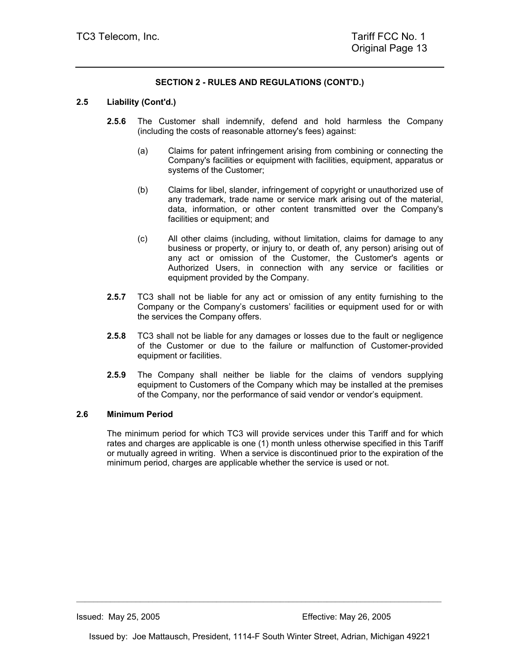### **2.5 Liability (Cont'd.)**

- **2.5.6** The Customer shall indemnify, defend and hold harmless the Company (including the costs of reasonable attorney's fees) against:
	- (a) Claims for patent infringement arising from combining or connecting the Company's facilities or equipment with facilities, equipment, apparatus or systems of the Customer;
	- (b) Claims for libel, slander, infringement of copyright or unauthorized use of any trademark, trade name or service mark arising out of the material, data, information, or other content transmitted over the Company's facilities or equipment; and
	- (c) All other claims (including, without limitation, claims for damage to any business or property, or injury to, or death of, any person) arising out of any act or omission of the Customer, the Customer's agents or Authorized Users, in connection with any service or facilities or equipment provided by the Company.
- **2.5.7** TC3 shall not be liable for any act or omission of any entity furnishing to the Company or the Company's customers' facilities or equipment used for or with the services the Company offers.
- **2.5.8** TC3 shall not be liable for any damages or losses due to the fault or negligence of the Customer or due to the failure or malfunction of Customer-provided equipment or facilities.
- **2.5.9** The Company shall neither be liable for the claims of vendors supplying equipment to Customers of the Company which may be installed at the premises of the Company, nor the performance of said vendor or vendor's equipment.

#### **2.6 Minimum Period**

The minimum period for which TC3 will provide services under this Tariff and for which rates and charges are applicable is one (1) month unless otherwise specified in this Tariff or mutually agreed in writing. When a service is discontinued prior to the expiration of the minimum period, charges are applicable whether the service is used or not.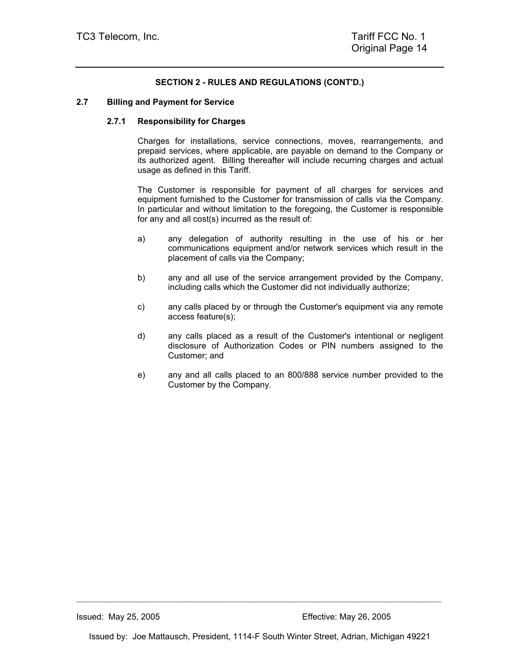#### **2.7 Billing and Payment for Service**

#### **2.7.1 Responsibility for Charges**

Charges for installations, service connections, moves, rearrangements, and prepaid services, where applicable, are payable on demand to the Company or its authorized agent. Billing thereafter will include recurring charges and actual usage as defined in this Tariff.

The Customer is responsible for payment of all charges for services and equipment furnished to the Customer for transmission of calls via the Company. In particular and without limitation to the foregoing, the Customer is responsible for any and all cost(s) incurred as the result of:

- a) any delegation of authority resulting in the use of his or her communications equipment and/or network services which result in the placement of calls via the Company;
- b) any and all use of the service arrangement provided by the Company, including calls which the Customer did not individually authorize;
- c) any calls placed by or through the Customer's equipment via any remote access feature(s);
- d) any calls placed as a result of the Customer's intentional or negligent disclosure of Authorization Codes or PIN numbers assigned to the Customer; and
- e) any and all calls placed to an 800/888 service number provided to the Customer by the Company.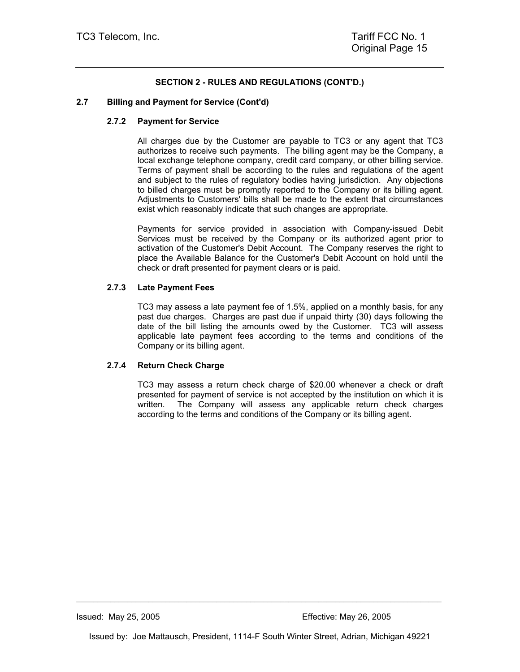### **2.7 Billing and Payment for Service (Cont'd)**

### **2.7.2 Payment for Service**

All charges due by the Customer are payable to TC3 or any agent that TC3 authorizes to receive such payments. The billing agent may be the Company, a local exchange telephone company, credit card company, or other billing service. Terms of payment shall be according to the rules and regulations of the agent and subject to the rules of regulatory bodies having jurisdiction. Any objections to billed charges must be promptly reported to the Company or its billing agent. Adjustments to Customers' bills shall be made to the extent that circumstances exist which reasonably indicate that such changes are appropriate.

Payments for service provided in association with Company-issued Debit Services must be received by the Company or its authorized agent prior to activation of the Customer's Debit Account. The Company reserves the right to place the Available Balance for the Customer's Debit Account on hold until the check or draft presented for payment clears or is paid.

#### **2.7.3 Late Payment Fees**

TC3 may assess a late payment fee of 1.5%, applied on a monthly basis, for any past due charges. Charges are past due if unpaid thirty (30) days following the date of the bill listing the amounts owed by the Customer. TC3 will assess applicable late payment fees according to the terms and conditions of the Company or its billing agent.

### **2.7.4 Return Check Charge**

TC3 may assess a return check charge of \$20.00 whenever a check or draft presented for payment of service is not accepted by the institution on which it is written. The Company will assess any applicable return check charges according to the terms and conditions of the Company or its billing agent.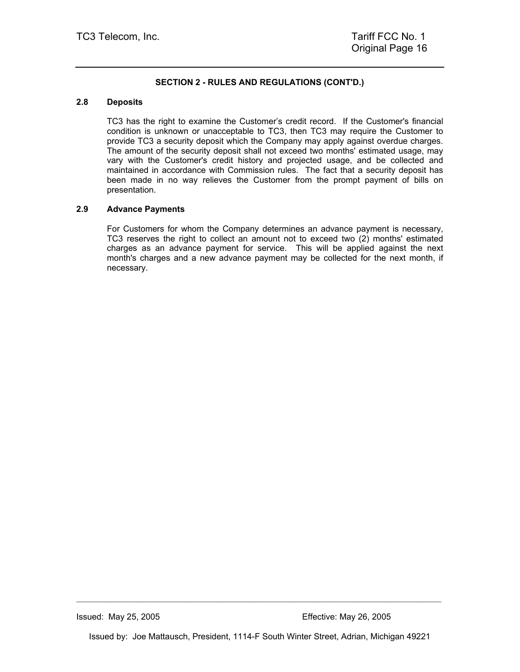#### **2.8 Deposits**

TC3 has the right to examine the Customer's credit record. If the Customer's financial condition is unknown or unacceptable to TC3, then TC3 may require the Customer to provide TC3 a security deposit which the Company may apply against overdue charges. The amount of the security deposit shall not exceed two months' estimated usage, may vary with the Customer's credit history and projected usage, and be collected and maintained in accordance with Commission rules. The fact that a security deposit has been made in no way relieves the Customer from the prompt payment of bills on presentation.

#### **2.9 Advance Payments**

For Customers for whom the Company determines an advance payment is necessary, TC3 reserves the right to collect an amount not to exceed two (2) months' estimated charges as an advance payment for service. This will be applied against the next month's charges and a new advance payment may be collected for the next month, if necessary.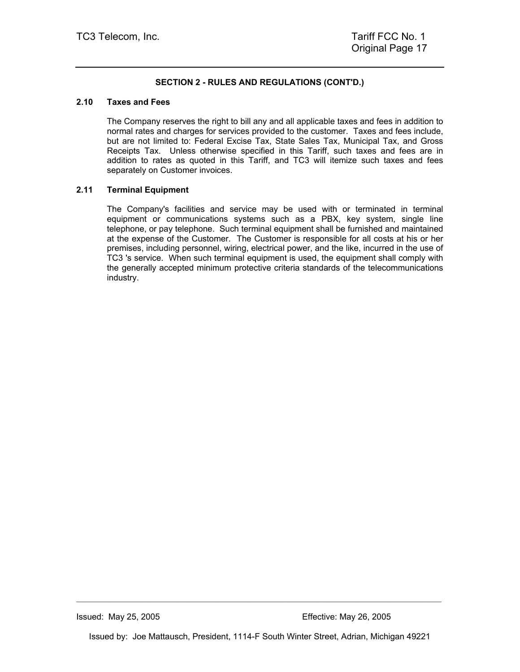#### **2.10 Taxes and Fees**

The Company reserves the right to bill any and all applicable taxes and fees in addition to normal rates and charges for services provided to the customer. Taxes and fees include, but are not limited to: Federal Excise Tax, State Sales Tax, Municipal Tax, and Gross Receipts Tax. Unless otherwise specified in this Tariff, such taxes and fees are in addition to rates as quoted in this Tariff, and TC3 will itemize such taxes and fees separately on Customer invoices.

#### **2.11 Terminal Equipment**

The Company's facilities and service may be used with or terminated in terminal equipment or communications systems such as a PBX, key system, single line telephone, or pay telephone. Such terminal equipment shall be furnished and maintained at the expense of the Customer. The Customer is responsible for all costs at his or her premises, including personnel, wiring, electrical power, and the like, incurred in the use of TC3 's service. When such terminal equipment is used, the equipment shall comply with the generally accepted minimum protective criteria standards of the telecommunications industry.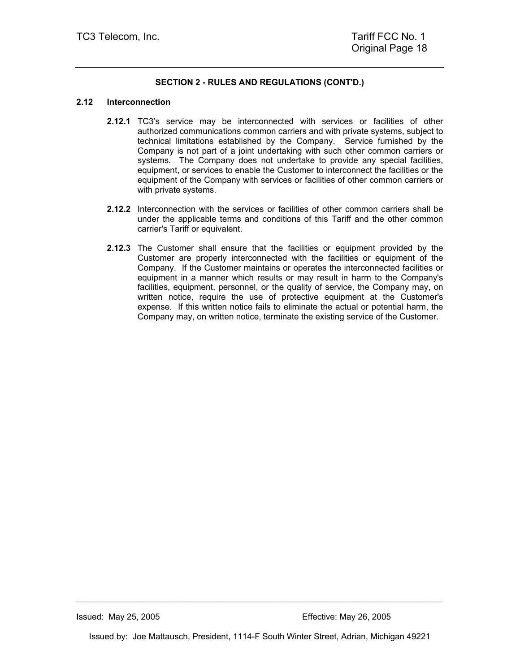#### **2.12 Interconnection**

- **2.12.1** TC3's service may be interconnected with services or facilities of other authorized communications common carriers and with private systems, subject to technical limitations established by the Company. Service furnished by the Company is not part of a joint undertaking with such other common carriers or systems. The Company does not undertake to provide any special facilities, equipment, or services to enable the Customer to interconnect the facilities or the equipment of the Company with services or facilities of other common carriers or with private systems.
- **2.12.2** Interconnection with the services or facilities of other common carriers shall be under the applicable terms and conditions of this Tariff and the other common carrier's Tariff or equivalent.
- **2.12.3** The Customer shall ensure that the facilities or equipment provided by the Customer are properly interconnected with the facilities or equipment of the Company. If the Customer maintains or operates the interconnected facilities or equipment in a manner which results or may result in harm to the Company's facilities, equipment, personnel, or the quality of service, the Company may, on written notice, require the use of protective equipment at the Customer's expense. If this written notice fails to eliminate the actual or potential harm, the Company may, on written notice, terminate the existing service of the Customer.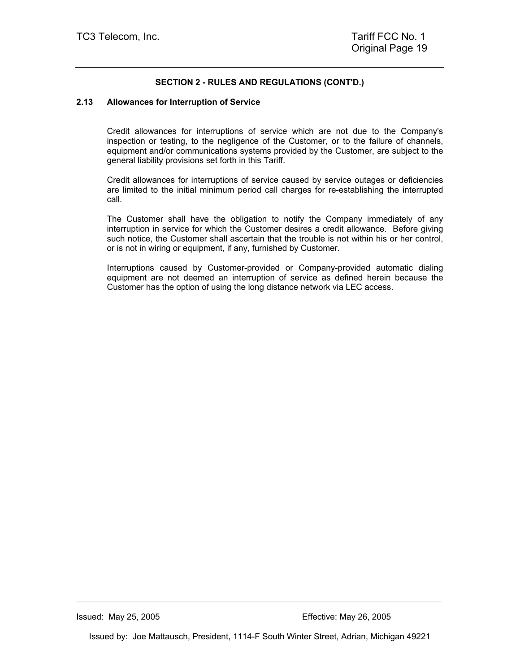#### **2.13 Allowances for Interruption of Service**

Credit allowances for interruptions of service which are not due to the Company's inspection or testing, to the negligence of the Customer, or to the failure of channels, equipment and/or communications systems provided by the Customer, are subject to the general liability provisions set forth in this Tariff.

Credit allowances for interruptions of service caused by service outages or deficiencies are limited to the initial minimum period call charges for re-establishing the interrupted call.

The Customer shall have the obligation to notify the Company immediately of any interruption in service for which the Customer desires a credit allowance. Before giving such notice, the Customer shall ascertain that the trouble is not within his or her control, or is not in wiring or equipment, if any, furnished by Customer.

Interruptions caused by Customer-provided or Company-provided automatic dialing equipment are not deemed an interruption of service as defined herein because the Customer has the option of using the long distance network via LEC access.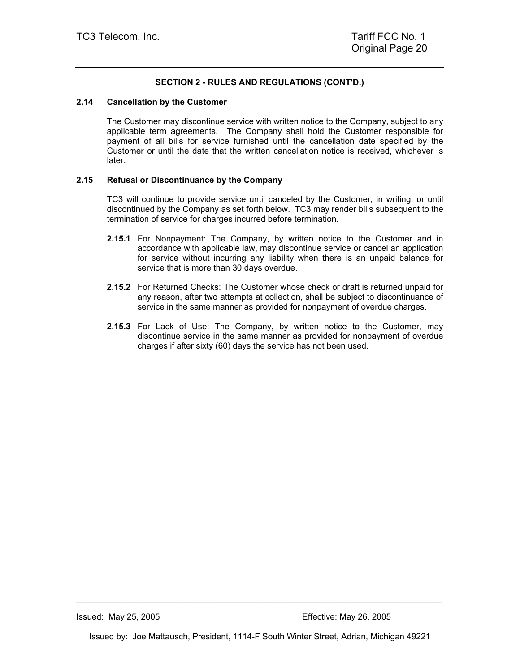#### **2.14 Cancellation by the Customer**

The Customer may discontinue service with written notice to the Company, subject to any applicable term agreements. The Company shall hold the Customer responsible for payment of all bills for service furnished until the cancellation date specified by the Customer or until the date that the written cancellation notice is received, whichever is later.

### **2.15 Refusal or Discontinuance by the Company**

TC3 will continue to provide service until canceled by the Customer, in writing, or until discontinued by the Company as set forth below. TC3 may render bills subsequent to the termination of service for charges incurred before termination.

- **2.15.1** For Nonpayment: The Company, by written notice to the Customer and in accordance with applicable law, may discontinue service or cancel an application for service without incurring any liability when there is an unpaid balance for service that is more than 30 days overdue.
- **2.15.2** For Returned Checks: The Customer whose check or draft is returned unpaid for any reason, after two attempts at collection, shall be subject to discontinuance of service in the same manner as provided for nonpayment of overdue charges.
- **2.15.3** For Lack of Use: The Company, by written notice to the Customer, may discontinue service in the same manner as provided for nonpayment of overdue charges if after sixty (60) days the service has not been used.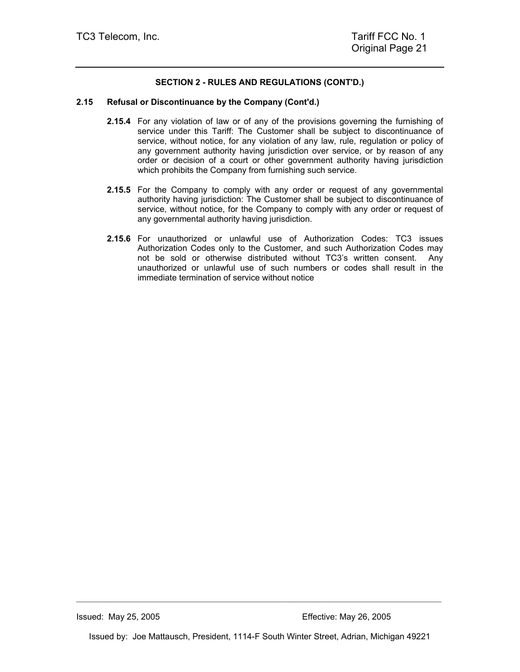#### **2.15 Refusal or Discontinuance by the Company (Cont'd.)**

- **2.15.4** For any violation of law or of any of the provisions governing the furnishing of service under this Tariff: The Customer shall be subject to discontinuance of service, without notice, for any violation of any law, rule, regulation or policy of any government authority having jurisdiction over service, or by reason of any order or decision of a court or other government authority having jurisdiction which prohibits the Company from furnishing such service.
- **2.15.5** For the Company to comply with any order or request of any governmental authority having jurisdiction: The Customer shall be subject to discontinuance of service, without notice, for the Company to comply with any order or request of any governmental authority having jurisdiction.
- **2.15.6** For unauthorized or unlawful use of Authorization Codes: TC3 issues Authorization Codes only to the Customer, and such Authorization Codes may not be sold or otherwise distributed without TC3's written consent. Any unauthorized or unlawful use of such numbers or codes shall result in the immediate termination of service without notice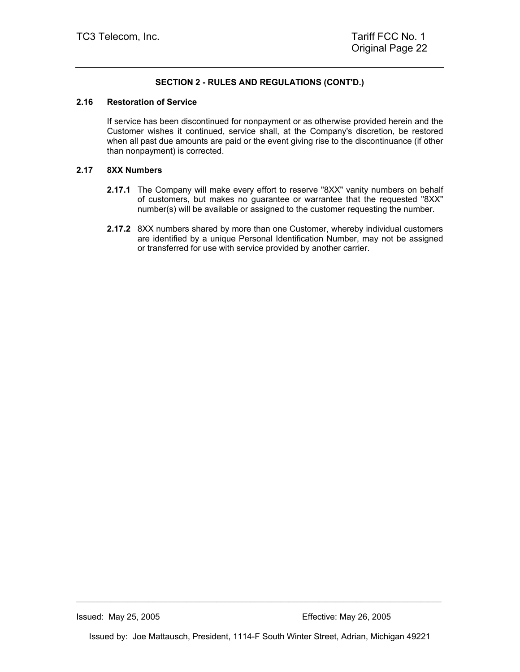#### **2.16 Restoration of Service**

If service has been discontinued for nonpayment or as otherwise provided herein and the Customer wishes it continued, service shall, at the Company's discretion, be restored when all past due amounts are paid or the event giving rise to the discontinuance (if other than nonpayment) is corrected.

#### **2.17 8XX Numbers**

- **2.17.1** The Company will make every effort to reserve "8XX" vanity numbers on behalf of customers, but makes no guarantee or warrantee that the requested "8XX" number(s) will be available or assigned to the customer requesting the number.
- **2.17.2** 8XX numbers shared by more than one Customer, whereby individual customers are identified by a unique Personal Identification Number, may not be assigned or transferred for use with service provided by another carrier.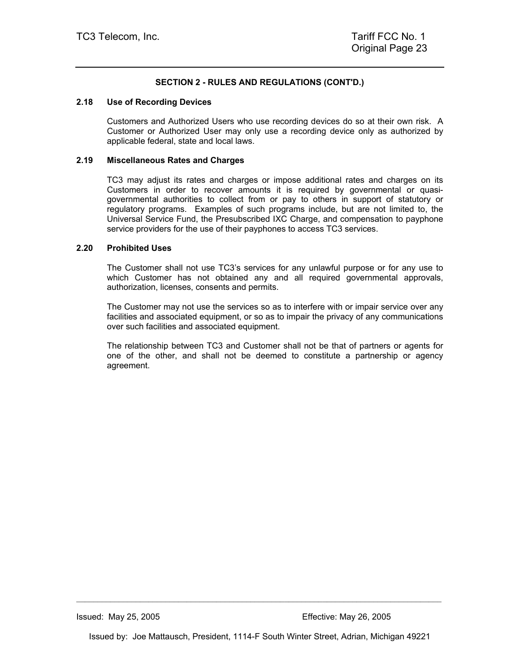#### **2.18 Use of Recording Devices**

Customers and Authorized Users who use recording devices do so at their own risk. A Customer or Authorized User may only use a recording device only as authorized by applicable federal, state and local laws.

#### **2.19 Miscellaneous Rates and Charges**

TC3 may adjust its rates and charges or impose additional rates and charges on its Customers in order to recover amounts it is required by governmental or quasigovernmental authorities to collect from or pay to others in support of statutory or regulatory programs. Examples of such programs include, but are not limited to, the Universal Service Fund, the Presubscribed IXC Charge, and compensation to payphone service providers for the use of their payphones to access TC3 services.

#### **2.20 Prohibited Uses**

The Customer shall not use TC3's services for any unlawful purpose or for any use to which Customer has not obtained any and all required governmental approvals, authorization, licenses, consents and permits.

The Customer may not use the services so as to interfere with or impair service over any facilities and associated equipment, or so as to impair the privacy of any communications over such facilities and associated equipment.

The relationship between TC3 and Customer shall not be that of partners or agents for one of the other, and shall not be deemed to constitute a partnership or agency agreement.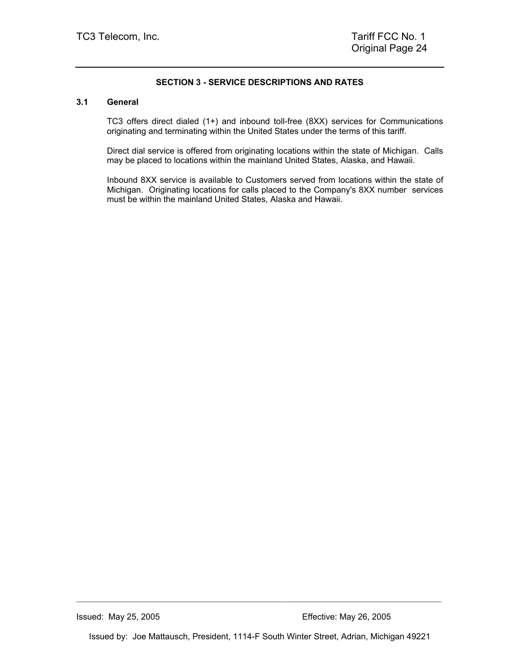## **SECTION 3 - SERVICE DESCRIPTIONS AND RATES**

#### **3.1 General**

TC3 offers direct dialed (1+) and inbound toll-free (8XX) services for Communications originating and terminating within the United States under the terms of this tariff.

Direct dial service is offered from originating locations within the state of Michigan. Calls may be placed to locations within the mainland United States, Alaska, and Hawaii.

Inbound 8XX service is available to Customers served from locations within the state of Michigan. Originating locations for calls placed to the Company's 8XX number services must be within the mainland United States, Alaska and Hawaii.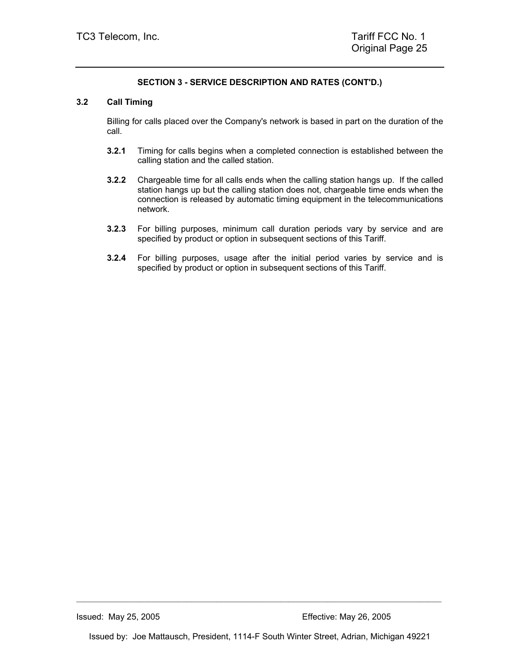#### **3.2 Call Timing**

Billing for calls placed over the Company's network is based in part on the duration of the call.

- **3.2.1** Timing for calls begins when a completed connection is established between the calling station and the called station.
- **3.2.2** Chargeable time for all calls ends when the calling station hangs up. If the called station hangs up but the calling station does not, chargeable time ends when the connection is released by automatic timing equipment in the telecommunications network.
- **3.2.3** For billing purposes, minimum call duration periods vary by service and are specified by product or option in subsequent sections of this Tariff.
- **3.2.4** For billing purposes, usage after the initial period varies by service and is specified by product or option in subsequent sections of this Tariff.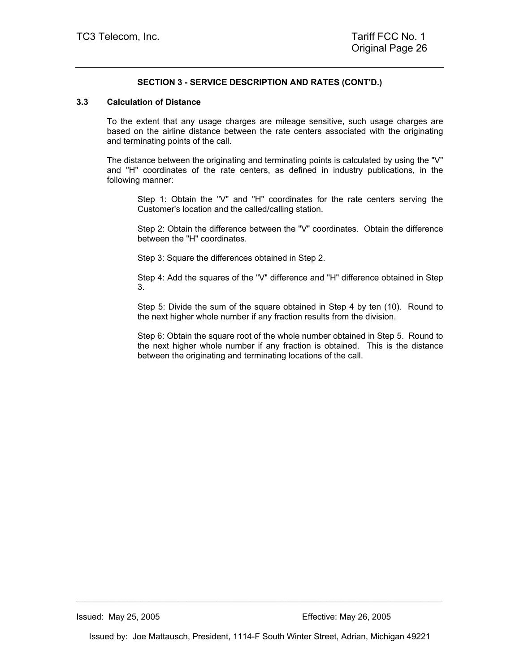#### **3.3 Calculation of Distance**

To the extent that any usage charges are mileage sensitive, such usage charges are based on the airline distance between the rate centers associated with the originating and terminating points of the call.

The distance between the originating and terminating points is calculated by using the "V" and "H" coordinates of the rate centers, as defined in industry publications, in the following manner:

Step 1: Obtain the "V" and "H" coordinates for the rate centers serving the Customer's location and the called/calling station.

Step 2: Obtain the difference between the "V" coordinates. Obtain the difference between the "H" coordinates.

Step 3: Square the differences obtained in Step 2.

Step 4: Add the squares of the "V" difference and "H" difference obtained in Step 3.

Step 5: Divide the sum of the square obtained in Step 4 by ten (10). Round to the next higher whole number if any fraction results from the division.

Step 6: Obtain the square root of the whole number obtained in Step 5. Round to the next higher whole number if any fraction is obtained. This is the distance between the originating and terminating locations of the call.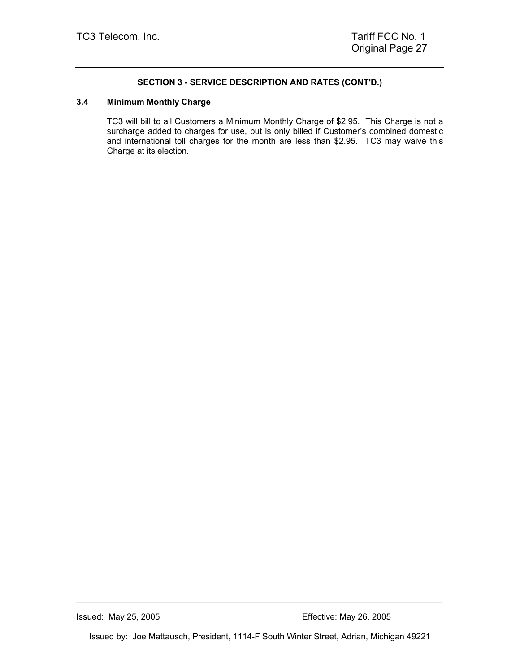#### **3.4 Minimum Monthly Charge**

TC3 will bill to all Customers a Minimum Monthly Charge of \$2.95. This Charge is not a surcharge added to charges for use, but is only billed if Customer's combined domestic and international toll charges for the month are less than \$2.95. TC3 may waive this Charge at its election.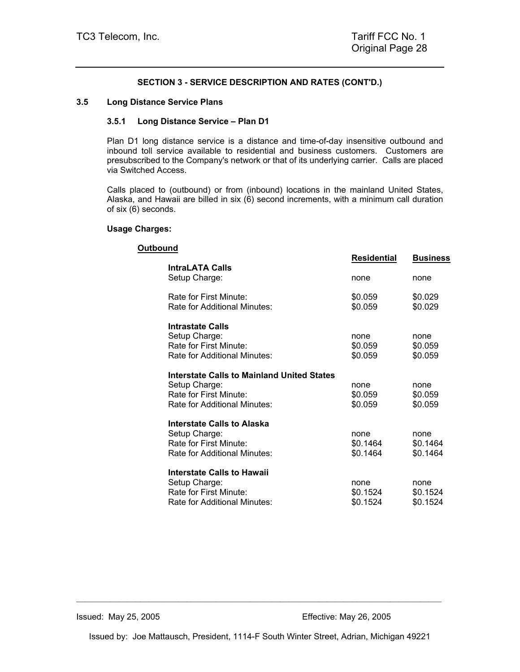#### **3.5 Long Distance Service Plans**

#### **3.5.1 Long Distance Service – Plan D1**

Plan D1 long distance service is a distance and time-of-day insensitive outbound and inbound toll service available to residential and business customers. Customers are presubscribed to the Company's network or that of its underlying carrier. Calls are placed via Switched Access.

Calls placed to (outbound) or from (inbound) locations in the mainland United States, Alaska, and Hawaii are billed in six (6) second increments, with a minimum call duration of six (6) seconds.

#### **Usage Charges:**

| Outbound |                                                                                                                       |                              |                              |
|----------|-----------------------------------------------------------------------------------------------------------------------|------------------------------|------------------------------|
|          |                                                                                                                       | <b>Residential</b>           | <b>Business</b>              |
|          | <b>IntraLATA Calls</b><br>Setup Charge:                                                                               | none                         | none                         |
|          | Rate for First Minute:<br>Rate for Additional Minutes:                                                                | \$0.059<br>\$0.059           | \$0.029<br>\$0.029           |
|          | <b>Intrastate Calls</b><br>Setup Charge:<br>Rate for First Minute:<br>Rate for Additional Minutes:                    | none<br>\$0.059<br>\$0.059   | none<br>\$0.059<br>\$0.059   |
|          | Interstate Calls to Mainland United States<br>Setup Charge:<br>Rate for First Minute:<br>Rate for Additional Minutes: | none<br>\$0.059<br>\$0.059   | none<br>\$0.059<br>\$0.059   |
|          | Interstate Calls to Alaska<br>Setup Charge:<br>Rate for First Minute:<br>Rate for Additional Minutes:                 | none<br>\$0.1464<br>\$0.1464 | none<br>\$0.1464<br>\$0.1464 |
|          | Interstate Calls to Hawaii<br>Setup Charge:<br>Rate for First Minute:<br>Rate for Additional Minutes:                 | none<br>\$0.1524<br>\$0.1524 | none<br>\$0.1524<br>\$0.1524 |
|          |                                                                                                                       |                              |                              |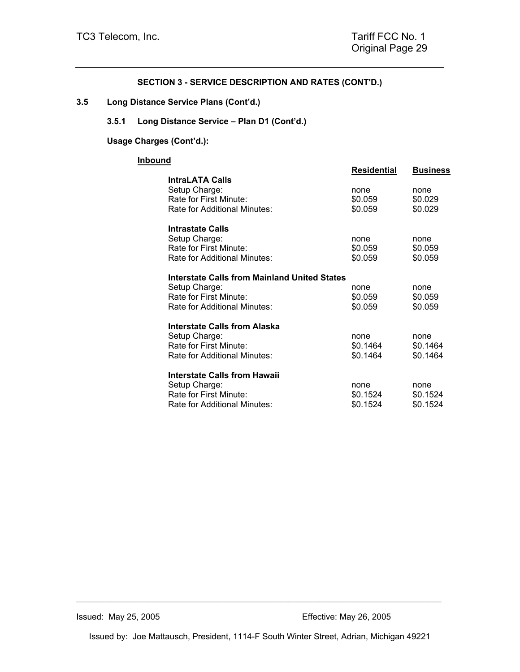**3.5 Long Distance Service Plans (Cont'd.)** 

## **3.5.1 Long Distance Service – Plan D1 (Cont'd.)**

## **Usage Charges (Cont'd.):**

## **Inbound**

| nd                                                            | Residential | <b>Business</b> |
|---------------------------------------------------------------|-------------|-----------------|
| <b>IntraLATA Calls</b>                                        |             |                 |
| Setup Charge:                                                 | none        | none            |
| Rate for First Minute:                                        | \$0.059     | \$0.029         |
| Rate for Additional Minutes:                                  | \$0.059     | \$0.029         |
| <b>Intrastate Calls</b>                                       |             |                 |
| Setup Charge:                                                 | none        | none            |
| Rate for First Minute:                                        | \$0.059     | \$0.059         |
| Rate for Additional Minutes:                                  | \$0.059     | \$0.059         |
|                                                               |             |                 |
| Interstate Calls from Mainland United States<br>Setup Charge: | none        | none            |
| Rate for First Minute:                                        | \$0.059     | \$0.059         |
| Rate for Additional Minutes:                                  | \$0.059     | \$0.059         |
|                                                               |             |                 |
| Interstate Calls from Alaska                                  |             |                 |
| Setup Charge:                                                 | none        | none            |
| Rate for First Minute:                                        | \$0.1464    | \$0.1464        |
| Rate for Additional Minutes:                                  | \$0.1464    | \$0.1464        |
| <b>Interstate Calls from Hawaii</b>                           |             |                 |
| Setup Charge:                                                 | none        | none            |
| Rate for First Minute:                                        | \$0.1524    | \$0.1524        |
| Rate for Additional Minutes:                                  | \$0.1524    | \$0.1524        |
|                                                               |             |                 |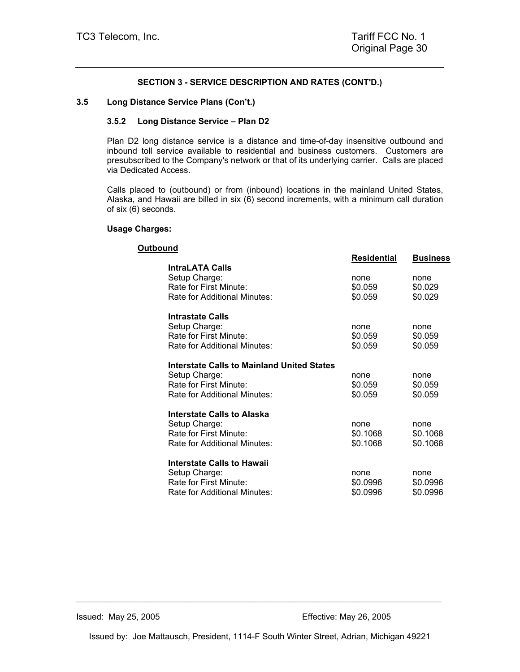#### **3.5 Long Distance Service Plans (Con't.)**

#### **3.5.2 Long Distance Service – Plan D2**

Plan D2 long distance service is a distance and time-of-day insensitive outbound and inbound toll service available to residential and business customers. Customers are presubscribed to the Company's network or that of its underlying carrier. Calls are placed via Dedicated Access.

Calls placed to (outbound) or from (inbound) locations in the mainland United States, Alaska, and Hawaii are billed in six (6) second increments, with a minimum call duration of six (6) seconds.

#### **Usage Charges:**

| Outbound |                                            |                    |                 |
|----------|--------------------------------------------|--------------------|-----------------|
|          |                                            | <b>Residential</b> | <b>Business</b> |
|          | <b>IntraLATA Calls</b>                     |                    |                 |
|          | Setup Charge:                              | none               | none            |
|          | Rate for First Minute:                     | \$0.059            | \$0.029         |
|          | Rate for Additional Minutes:               | \$0.059            | \$0.029         |
|          | <b>Intrastate Calls</b>                    |                    |                 |
|          | Setup Charge:                              | none               | none            |
|          | Rate for First Minute:                     | \$0.059            | \$0.059         |
|          | Rate for Additional Minutes:               | \$0.059            | \$0.059         |
|          | Interstate Calls to Mainland United States |                    |                 |
|          | Setup Charge:                              | none               | none            |
|          | Rate for First Minute:                     | \$0.059            | \$0.059         |
|          | Rate for Additional Minutes:               | \$0.059            | \$0.059         |
|          | Interstate Calls to Alaska                 |                    |                 |
|          | Setup Charge:                              | none               | none            |
|          | Rate for First Minute:                     | \$0.1068           | \$0.1068        |
|          | Rate for Additional Minutes:               | \$0.1068           | \$0.1068        |
|          | Interstate Calls to Hawaii                 |                    |                 |
|          | Setup Charge:                              | none               | none            |
|          | Rate for First Minute:                     | \$0.0996           | \$0.0996        |
|          | Rate for Additional Minutes:               | \$0.0996           | \$0.0996        |
|          |                                            |                    |                 |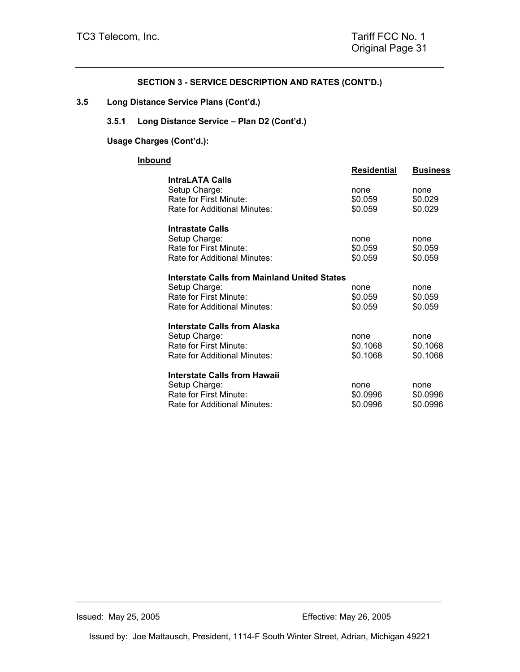**3.5 Long Distance Service Plans (Cont'd.)** 

## **3.5.1 Long Distance Service – Plan D2 (Cont'd.)**

## **Usage Charges (Cont'd.):**

## **Inbound**

| nd                                                                                                      | Residential                  | <b>Business</b>              |
|---------------------------------------------------------------------------------------------------------|------------------------------|------------------------------|
| <b>IntraLATA Calls</b>                                                                                  |                              |                              |
| Setup Charge:<br>Rate for First Minute:<br>Rate for Additional Minutes:                                 | none<br>\$0.059<br>\$0.059   | none<br>\$0.029<br>\$0.029   |
|                                                                                                         |                              |                              |
| Intrastate Calls<br>Setup Charge:<br>Rate for First Minute:<br>Rate for Additional Minutes:             | none<br>\$0.059<br>\$0.059   | none<br>\$0.059<br>\$0.059   |
| Interstate Calls from Mainland United States                                                            |                              |                              |
| Setup Charge:                                                                                           | none                         | none                         |
| Rate for First Minute:<br>Rate for Additional Minutes:                                                  | \$0.059<br>\$0.059           | \$0.059<br>\$0.059           |
| Interstate Calls from Alaska                                                                            |                              |                              |
| Setup Charge:<br>Rate for First Minute:<br>Rate for Additional Minutes:                                 | none<br>\$0.1068<br>\$0.1068 | none<br>\$0.1068<br>\$0.1068 |
| Interstate Calls from Hawaii<br>Setup Charge:<br>Rate for First Minute:<br>Rate for Additional Minutes: | none<br>\$0.0996<br>\$0.0996 | none<br>\$0.0996<br>\$0.0996 |
|                                                                                                         |                              |                              |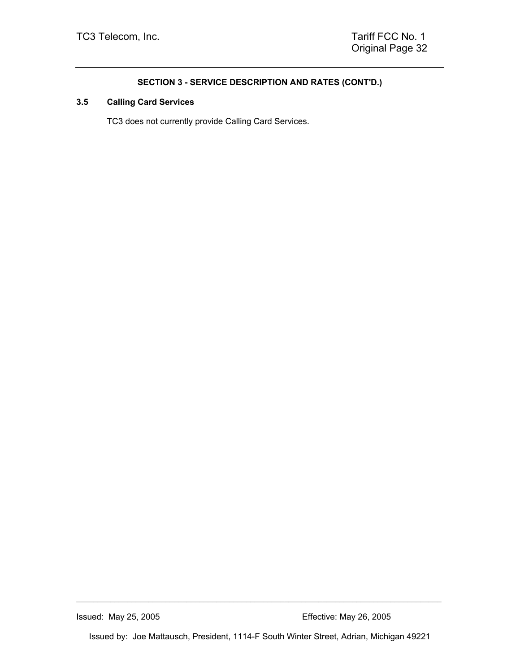## **3.5 Calling Card Services**

TC3 does not currently provide Calling Card Services.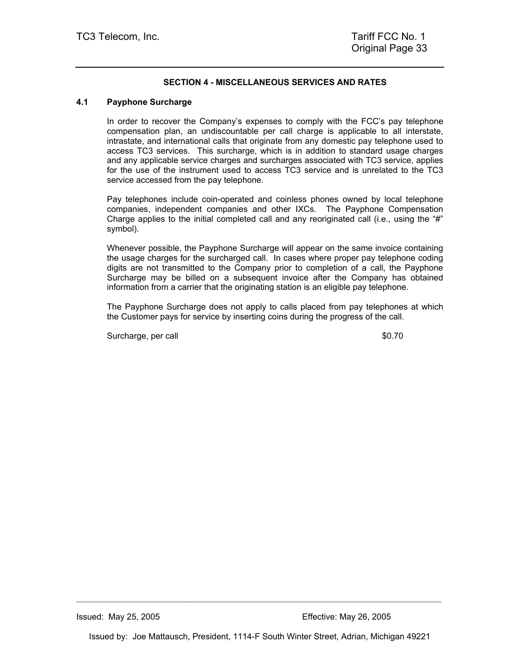## **SECTION 4 - MISCELLANEOUS SERVICES AND RATES**

#### **4.1 Payphone Surcharge**

In order to recover the Company's expenses to comply with the FCC's pay telephone compensation plan, an undiscountable per call charge is applicable to all interstate, intrastate, and international calls that originate from any domestic pay telephone used to access TC3 services. This surcharge, which is in addition to standard usage charges and any applicable service charges and surcharges associated with TC3 service, applies for the use of the instrument used to access TC3 service and is unrelated to the TC3 service accessed from the pay telephone.

Pay telephones include coin-operated and coinless phones owned by local telephone companies, independent companies and other IXCs. The Payphone Compensation Charge applies to the initial completed call and any reoriginated call (i.e., using the "#" symbol).

Whenever possible, the Payphone Surcharge will appear on the same invoice containing the usage charges for the surcharged call. In cases where proper pay telephone coding digits are not transmitted to the Company prior to completion of a call, the Payphone Surcharge may be billed on a subsequent invoice after the Company has obtained information from a carrier that the originating station is an eligible pay telephone.

The Payphone Surcharge does not apply to calls placed from pay telephones at which the Customer pays for service by inserting coins during the progress of the call.

Surcharge, per call  $\sim$  80.70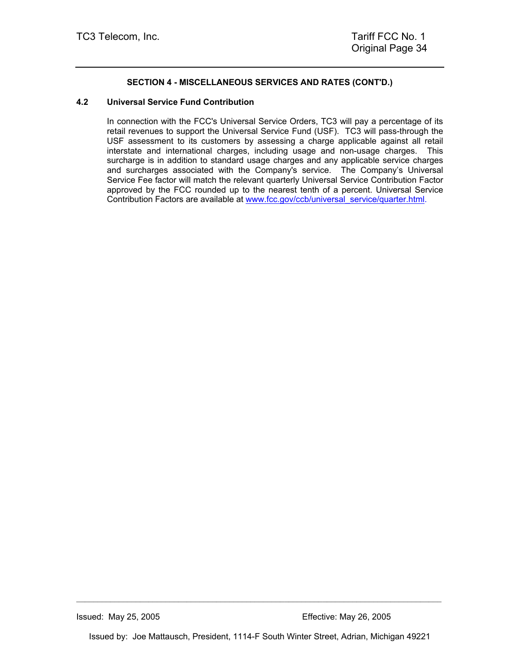## **SECTION 4 - MISCELLANEOUS SERVICES AND RATES (CONT'D.)**

### **4.2 Universal Service Fund Contribution**

In connection with the FCC's Universal Service Orders, TC3 will pay a percentage of its retail revenues to support the Universal Service Fund (USF). TC3 will pass-through the USF assessment to its customers by assessing a charge applicable against all retail interstate and international charges, including usage and non-usage charges. This surcharge is in addition to standard usage charges and any applicable service charges and surcharges associated with the Company's service. The Company's Universal Service Fee factor will match the relevant quarterly Universal Service Contribution Factor approved by the FCC rounded up to the nearest tenth of a percent. Universal Service Contribution Factors are available at www.fcc.gov/ccb/universal\_service/quarter.html.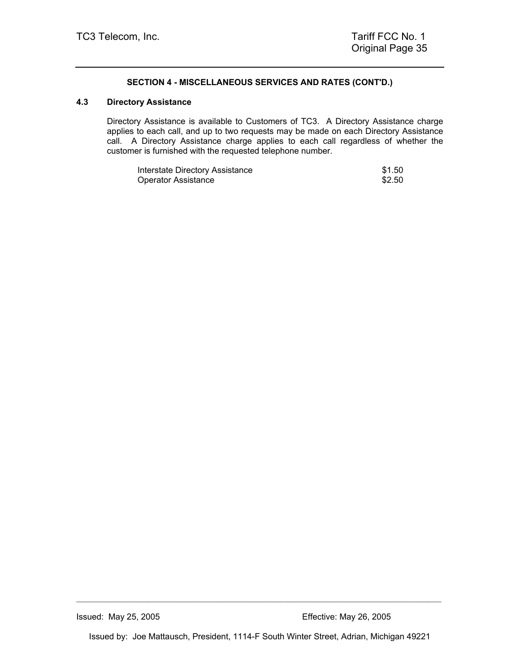## **SECTION 4 - MISCELLANEOUS SERVICES AND RATES (CONT'D.)**

#### **4.3 Directory Assistance**

Directory Assistance is available to Customers of TC3. A Directory Assistance charge applies to each call, and up to two requests may be made on each Directory Assistance call. A Directory Assistance charge applies to each call regardless of whether the customer is furnished with the requested telephone number.

| Interstate Directory Assistance | \$1.50 |
|---------------------------------|--------|
| Operator Assistance             | \$2.50 |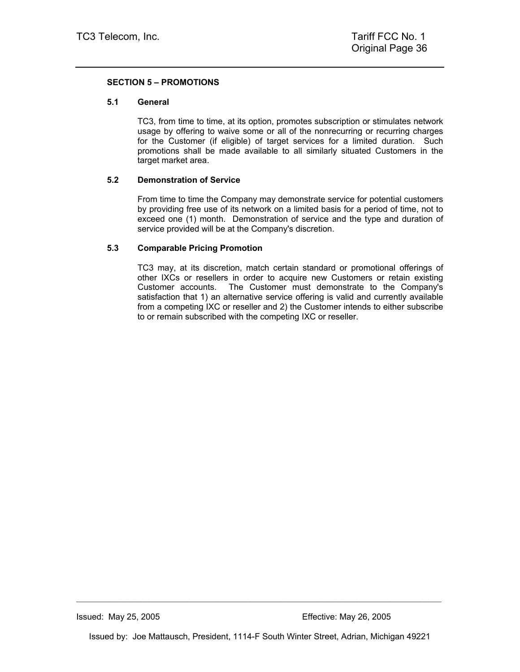## **SECTION 5 – PROMOTIONS**

#### **5.1 General**

TC3, from time to time, at its option, promotes subscription or stimulates network usage by offering to waive some or all of the nonrecurring or recurring charges for the Customer (if eligible) of target services for a limited duration. Such promotions shall be made available to all similarly situated Customers in the target market area.

### **5.2 Demonstration of Service**

From time to time the Company may demonstrate service for potential customers by providing free use of its network on a limited basis for a period of time, not to exceed one (1) month. Demonstration of service and the type and duration of service provided will be at the Company's discretion.

### **5.3 Comparable Pricing Promotion**

TC3 may, at its discretion, match certain standard or promotional offerings of other IXCs or resellers in order to acquire new Customers or retain existing Customer accounts. The Customer must demonstrate to the Company's satisfaction that 1) an alternative service offering is valid and currently available from a competing IXC or reseller and 2) the Customer intends to either subscribe to or remain subscribed with the competing IXC or reseller.